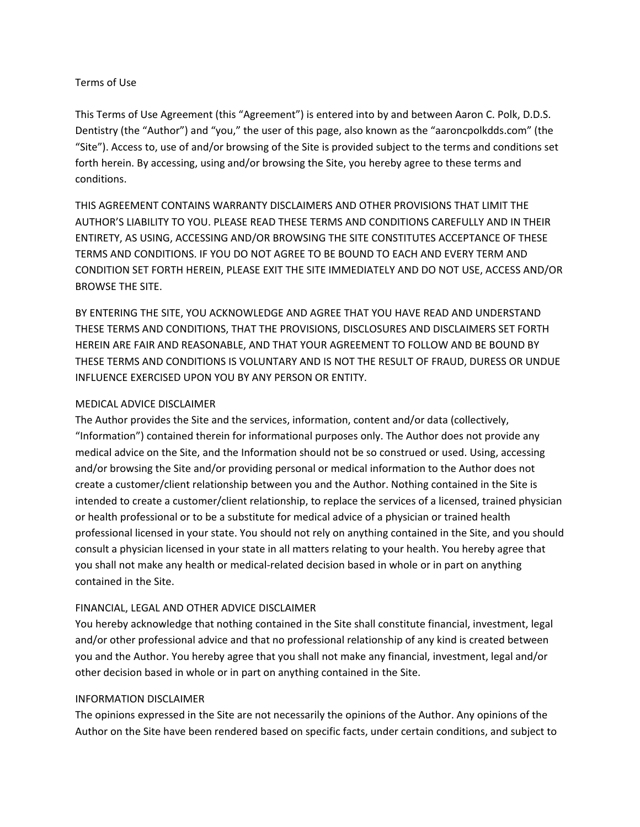### Terms of Use

This Terms of Use Agreement (this "Agreement") is entered into by and between Aaron C. Polk, D.D.S. Dentistry (the "Author") and "you," the user of this page, also known as the "aaroncpolkdds.com" (the "Site"). Access to, use of and/or browsing of the Site is provided subject to the terms and conditions set forth herein. By accessing, using and/or browsing the Site, you hereby agree to these terms and conditions.

THIS AGREEMENT CONTAINS WARRANTY DISCLAIMERS AND OTHER PROVISIONS THAT LIMIT THE AUTHOR'S LIABILITY TO YOU. PLEASE READ THESE TERMS AND CONDITIONS CAREFULLY AND IN THEIR ENTIRETY, AS USING, ACCESSING AND/OR BROWSING THE SITE CONSTITUTES ACCEPTANCE OF THESE TERMS AND CONDITIONS. IF YOU DO NOT AGREE TO BE BOUND TO EACH AND EVERY TERM AND CONDITION SET FORTH HEREIN, PLEASE EXIT THE SITE IMMEDIATELY AND DO NOT USE, ACCESS AND/OR BROWSE THE SITE.

BY ENTERING THE SITE, YOU ACKNOWLEDGE AND AGREE THAT YOU HAVE READ AND UNDERSTAND THESE TERMS AND CONDITIONS, THAT THE PROVISIONS, DISCLOSURES AND DISCLAIMERS SET FORTH HEREIN ARE FAIR AND REASONABLE, AND THAT YOUR AGREEMENT TO FOLLOW AND BE BOUND BY THESE TERMS AND CONDITIONS IS VOLUNTARY AND IS NOT THE RESULT OF FRAUD, DURESS OR UNDUE INFLUENCE EXERCISED UPON YOU BY ANY PERSON OR ENTITY.

### MEDICAL ADVICE DISCLAIMER

The Author provides the Site and the services, information, content and/or data (collectively, "Information") contained therein for informational purposes only. The Author does not provide any medical advice on the Site, and the Information should not be so construed or used. Using, accessing and/or browsing the Site and/or providing personal or medical information to the Author does not create a customer/client relationship between you and the Author. Nothing contained in the Site is intended to create a customer/client relationship, to replace the services of a licensed, trained physician or health professional or to be a substitute for medical advice of a physician or trained health professional licensed in your state. You should not rely on anything contained in the Site, and you should consult a physician licensed in your state in all matters relating to your health. You hereby agree that you shall not make any health or medical‐related decision based in whole or in part on anything contained in the Site.

### FINANCIAL, LEGAL AND OTHER ADVICE DISCLAIMER

You hereby acknowledge that nothing contained in the Site shall constitute financial, investment, legal and/or other professional advice and that no professional relationship of any kind is created between you and the Author. You hereby agree that you shall not make any financial, investment, legal and/or other decision based in whole or in part on anything contained in the Site.

### INFORMATION DISCLAIMER

The opinions expressed in the Site are not necessarily the opinions of the Author. Any opinions of the Author on the Site have been rendered based on specific facts, under certain conditions, and subject to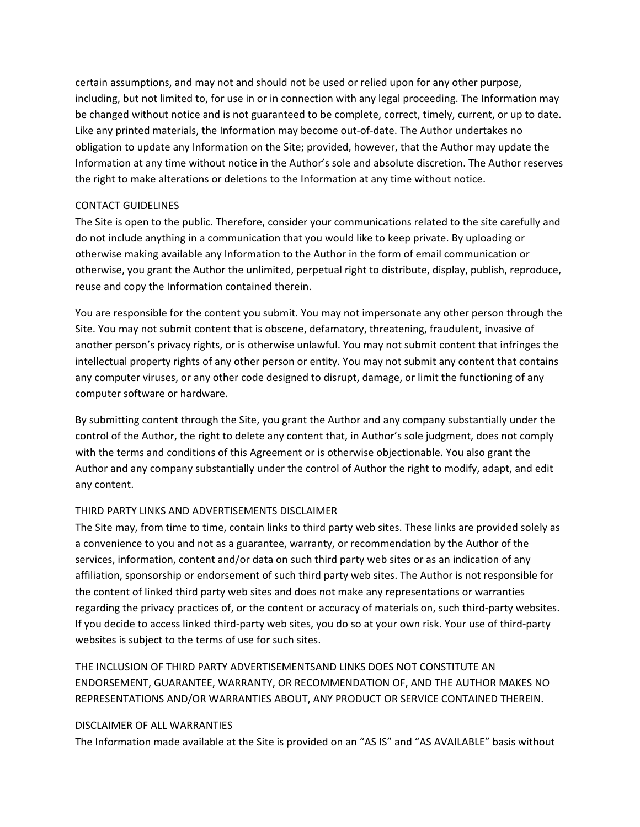certain assumptions, and may not and should not be used or relied upon for any other purpose, including, but not limited to, for use in or in connection with any legal proceeding. The Information may be changed without notice and is not guaranteed to be complete, correct, timely, current, or up to date. Like any printed materials, the Information may become out‐of‐date. The Author undertakes no obligation to update any Information on the Site; provided, however, that the Author may update the Information at any time without notice in the Author's sole and absolute discretion. The Author reserves the right to make alterations or deletions to the Information at any time without notice.

### CONTACT GUIDELINES

The Site is open to the public. Therefore, consider your communications related to the site carefully and do not include anything in a communication that you would like to keep private. By uploading or otherwise making available any Information to the Author in the form of email communication or otherwise, you grant the Author the unlimited, perpetual right to distribute, display, publish, reproduce, reuse and copy the Information contained therein.

You are responsible for the content you submit. You may not impersonate any other person through the Site. You may not submit content that is obscene, defamatory, threatening, fraudulent, invasive of another person's privacy rights, or is otherwise unlawful. You may not submit content that infringes the intellectual property rights of any other person or entity. You may not submit any content that contains any computer viruses, or any other code designed to disrupt, damage, or limit the functioning of any computer software or hardware.

By submitting content through the Site, you grant the Author and any company substantially under the control of the Author, the right to delete any content that, in Author's sole judgment, does not comply with the terms and conditions of this Agreement or is otherwise objectionable. You also grant the Author and any company substantially under the control of Author the right to modify, adapt, and edit any content.

# THIRD PARTY LINKS AND ADVERTISEMENTS DISCLAIMER

The Site may, from time to time, contain links to third party web sites. These links are provided solely as a convenience to you and not as a guarantee, warranty, or recommendation by the Author of the services, information, content and/or data on such third party web sites or as an indication of any affiliation, sponsorship or endorsement of such third party web sites. The Author is not responsible for the content of linked third party web sites and does not make any representations or warranties regarding the privacy practices of, or the content or accuracy of materials on, such third-party websites. If you decide to access linked third‐party web sites, you do so at your own risk. Your use of third‐party websites is subject to the terms of use for such sites.

THE INCLUSION OF THIRD PARTY ADVERTISEMENTSAND LINKS DOES NOT CONSTITUTE AN ENDORSEMENT, GUARANTEE, WARRANTY, OR RECOMMENDATION OF, AND THE AUTHOR MAKES NO REPRESENTATIONS AND/OR WARRANTIES ABOUT, ANY PRODUCT OR SERVICE CONTAINED THEREIN.

### DISCLAIMER OF ALL WARRANTIES

The Information made available at the Site is provided on an "AS IS" and "AS AVAILABLE" basis without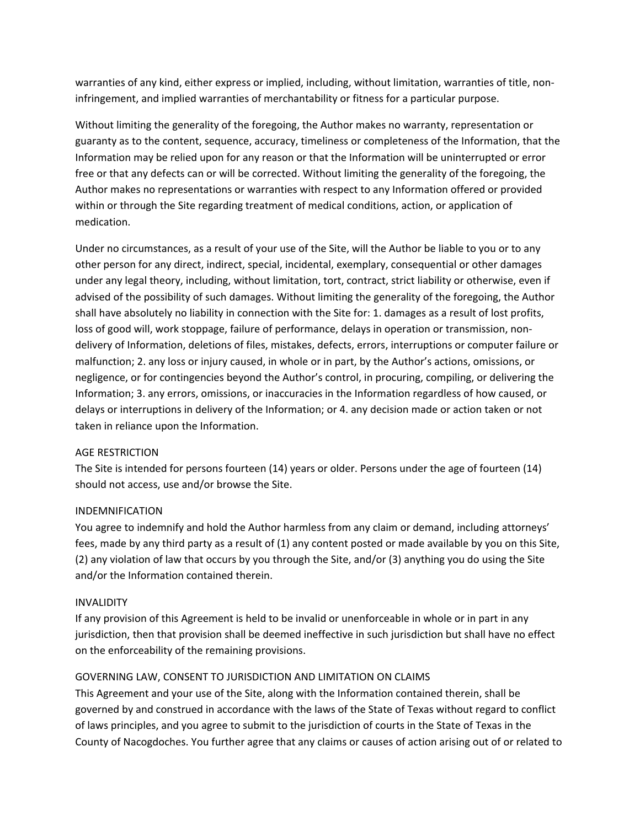warranties of any kind, either express or implied, including, without limitation, warranties of title, noninfringement, and implied warranties of merchantability or fitness for a particular purpose.

Without limiting the generality of the foregoing, the Author makes no warranty, representation or guaranty as to the content, sequence, accuracy, timeliness or completeness of the Information, that the Information may be relied upon for any reason or that the Information will be uninterrupted or error free or that any defects can or will be corrected. Without limiting the generality of the foregoing, the Author makes no representations or warranties with respect to any Information offered or provided within or through the Site regarding treatment of medical conditions, action, or application of medication.

Under no circumstances, as a result of your use of the Site, will the Author be liable to you or to any other person for any direct, indirect, special, incidental, exemplary, consequential or other damages under any legal theory, including, without limitation, tort, contract, strict liability or otherwise, even if advised of the possibility of such damages. Without limiting the generality of the foregoing, the Author shall have absolutely no liability in connection with the Site for: 1. damages as a result of lost profits, loss of good will, work stoppage, failure of performance, delays in operation or transmission, nondelivery of Information, deletions of files, mistakes, defects, errors, interruptions or computer failure or malfunction; 2. any loss or injury caused, in whole or in part, by the Author's actions, omissions, or negligence, or for contingencies beyond the Author's control, in procuring, compiling, or delivering the Information; 3. any errors, omissions, or inaccuracies in the Information regardless of how caused, or delays or interruptions in delivery of the Information; or 4. any decision made or action taken or not taken in reliance upon the Information.

#### AGE RESTRICTION

The Site is intended for persons fourteen (14) years or older. Persons under the age of fourteen (14) should not access, use and/or browse the Site.

### INDEMNIFICATION

You agree to indemnify and hold the Author harmless from any claim or demand, including attorneys' fees, made by any third party as a result of (1) any content posted or made available by you on this Site, (2) any violation of law that occurs by you through the Site, and/or (3) anything you do using the Site and/or the Information contained therein.

#### INVALIDITY

If any provision of this Agreement is held to be invalid or unenforceable in whole or in part in any jurisdiction, then that provision shall be deemed ineffective in such jurisdiction but shall have no effect on the enforceability of the remaining provisions.

### GOVERNING LAW, CONSENT TO JURISDICTION AND LIMITATION ON CLAIMS

This Agreement and your use of the Site, along with the Information contained therein, shall be governed by and construed in accordance with the laws of the State of Texas without regard to conflict of laws principles, and you agree to submit to the jurisdiction of courts in the State of Texas in the County of Nacogdoches. You further agree that any claims or causes of action arising out of or related to